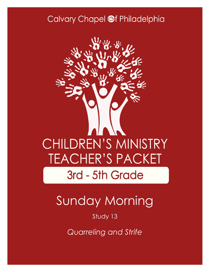### Calvary Chapel @f Philadelphia



# Sunday Morning

Study 13

*Quarreling and Strife*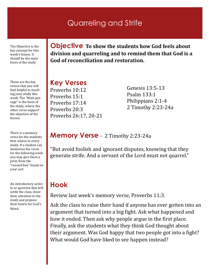### Quarreling and Strife

The Objective is the key concept for this week's lesson. It should be the main focus of the study

These are the key verses that you will find helpful in teaching your study this week. The "Main passage" is the basis of the study, where the other verse support the objective of the lesson.

There is a memory verse for the students that relates to every study. If a student can memorize the verse for the following week you may give them a prize from the "reward box" found on your cart.

An introductory activity or question that will settle the class, draw their attention to the study and prepare their hearts for God's Word.

**Objective To show the students how God feels about division and quarreling and to remind them that God is a God of reconciliation and restoration.**

**Key Verses** Proverbs 10:12 Proverbs 15:1 Proverbs 17:14 Proverbs 20:3 Proverbs 26:17, 20-21

Genesis 13:5-13 Psalm 133:1 Philippians 2:1-4 2 Timothy 2:23-24a

#### **Memory Verse** - 2 Timothy 2:23-24a

"But avoid foolish and ignorant disputes, knowing that they generate strife. And a servant of the Lord must not quarrel."

#### **Hook**

Review last week's memory verse, Proverbs 11:3.

Ask the class to raise their hand if anyone has ever gotten into an argument that turned into a big fight. Ask what happened and how it ended. Then ask why people argue in the first place. Finally, ask the students what they think God thought about their argument. Was God happy that two people got into a fight? What would God have liked to see happen instead?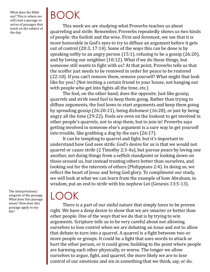What does the Bible say? This is where we will read a passage or series of passages that teach on the subject of the day.

# BOOK

This week we are studying what Proverbs teaches us about quarreling and strife. Remember, Proverbs repeatedly shows us two kinds of people: the foolish and the wise. First and foremost, we see that it is more honorable in God's eyes to try to diffuse an argument before it gets out of control (20:3, 17:14). Some of the ways this can be done is by speaking softly to an angry person (15:1), refusing to be a gossip (26:20), and by loving our neighbor (10:12). What if we do those things, but someone still wants to fight with us? At that point, Proverbs tells us that the scoffer just needs to be removed in order for peace to be restored (22:10). If you can't remove them, remove yourself! What might that look like for you? (Not inviting a certain friend to your house, not hanging out with people who get into fights all the time, etc.)

The fool, on the other hand, does the opposite. Just like gossip, quarrels and strife need fuel to keep them going. Rather than trying to diffuse arguments, the fool loves to start arguments and keep them going by spreading gossip (26:20-21), being dishonest (16:28), or just by being angry all the time (29:22). Fools are even on the lookout to get involved in other people's quarrels, not to stop them, but to join in! Proverbs says getting involved in someone else's argument is a sure way to get yourself into trouble, like grabbing a dog by the ears (26:17).

It can be tempting to quarrel and fight, but it's important to understand how God sees strife. God's desire for us is that we would not quarrel or cause strife (2 Timothy 2:3-4a), but pursue peace by loving one another, not doing things from a selfish standpoint or looking down on those around us, but instead treating others better than ourselves, and looking out for the interests of others (Philippians 2:4). In doing so, we reflect the heart of Jesus and bring God glory. To compliment our study, we will look at what we can learn from the example of how Abraham, in wisdom, put an end to strife with his nephew Lot (Genesis 13:5-13).

The interpretation/ exegesis of the passage. What does this passage mean? How does this passage apply to my life?

## LOOK

There is a part of our sinful nature that simply loves to be proven right. We have a deep desire to show that we are smarter or better than other people. One of the ways that we do that is by trying to win arguments. Scripture tells us to be very careful about not allowing ourselves to lose control when we are debating an issue and not to allow that debate to turn into a quarrel. A quarrel is a fight between two or more people or groups. It could be a fight that uses words to attack or hurt the other person, or it could grow, building to the point where people are harming each other physically, or worse. The longer we allow ourselves to argue, fight, and quarrel, the more likely we are to lose control of our emotions and sin in something that we think, say, or do.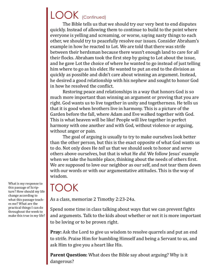### LOOK (Continued)

The Bible tells us that we should try our very best to end disputes quickly. Instead of allowing them to continue to build to the point where everyone is yelling and screaming, or worse, saying nasty things to each other, we should try to peacefully resolve our issues. Consider Abraham's example in how he reacted to Lot. We are told that there was strife between their herdsman because there wasn't enough land to care for all their flocks. Abraham took the first step by going to Lot about the issue, and he gave Lot the choice of where he wanted to go instead of just telling him where to go as his elder. He wanted to put an end to the division as quickly as possible and didn't care about winning an argument. Instead, he desired a good relationship with his nephew and sought to honor God in how he resolved the conflict.

Restoring peace and relationships in a way that honors God is so much more important than winning an argument or proving that you are right. God wants us to live together in unity and togetherness. He tells us that it is good when brothers live in harmony. This is a picture of the Garden before the fall, where Adam and Eve walked together with God. This is what heaven will be like! People will live together in perfect harmony with one another and with God, without violence or arguing, without anger or pain.

The goal of arguing is usually to try to make ourselves look better than the other person, but this is the exact opposite of what God wants us to do. Not only does He *tell* us that we should seek to honor and serve others above ourselves, but that is what He *did*. We follow Jesus' example when we take the humble place, thinking about the needs of others first. We are supposed to love our neighbor as our self, and not tear them down with our words or with our argumentative attitudes. This is the way of wisdom.

## TOOK

As a class, memorize 2 Timothy 2:23-24a.

Spend some time in class talking about ways that we can prevent fights and arguments. Talk to the kids about whether or not it is more important to be loving or to be proven right.

**Pray:** Ask the Lord to give us wisdom to resolve quarrels and put an end to strife. Praise Him for humbling Himself and being a Servant to us, and ask Him to give you a heart like His.

**Parent Question:** What does the Bible say about arguing? Why is it dangerous?

What is my response to this passage of Scripture? How should my life change according to what this passage teaches me? What are the practical things I can do throughout the week to make this true in my life?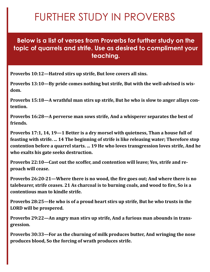## FURTHER STUDY IN PROVERBS

**Below is a list of verses from Proverbs for further study on the topic of quarrels and strife. Use as desired to compliment your teaching.**

**Proverbs 10:12—Hatred stirs up strife, But love covers all sins.**

**Proverbs 13:10—By pride comes nothing but strife, But with the well-advised is wisdom.**

**Proverbs 15:18—A wrathful man stirs up strife, But he who is slow to anger allays contention.**

**Proverbs 16:28—A perverse man sows strife, And a whisperer separates the best of friends.**

**Proverbs 17:1, 14, 19—1 Better is a dry morsel with quietness, Than a house full of feasting with strife. ... 14 The beginning of strife is like releasing water; Therefore stop contention before a quarrel starts. ... 19 He who loves transgression loves strife, And he who exalts his gate seeks destruction.**

**Proverbs 22:10—Cast out the scoffer, and contention will leave; Yes, strife and reproach will cease.**

**Proverbs 26:20-21—Where there is no wood, the fire goes out; And where there is no talebearer, strife ceases. 21 As charcoal is to burning coals, and wood to fire, So is a contentious man to kindle strife.**

**Proverbs 28:25—He who is of a proud heart stirs up strife, But he who trusts in the LORD will be prospered.**

**Proverbs 29:22—An angry man stirs up strife, And a furious man abounds in transgression.**

**Proverbs 30:33—For as the churning of milk produces butter, And wringing the nose produces blood, So the forcing of wrath produces strife.**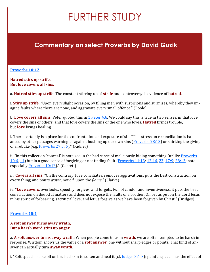## FURTHER STUDY

#### **Commentary on select Proverbs by David Guzik**

#### **[Proverbs 10:12](https://www.blueletterbible.org/kjv/proverbs/10/12/s_638012)**

**Hatred stirs up strife, But love covers all sins.**

a. **Hatred stirs up strife**: The constant stirring up of **strife** and controversy is evidence of **hatred**.

i. **Stirs up strife**: "Upon every slight occasion, by filling men with suspicions and surmises, whereby they imagine faults where there are none, and aggravate every small offence." (Poole)

b. **Love covers all sins**: Peter quoted this in [1 Peter 4:8.](https://www.blueletterbible.org/kjv/1peter/4/8/s_1155008) We could say this is true in two senses, in that love covers the sins of others, and that love covers the sins of the one who loves. **Hatred** brings trouble, but **love** brings healing.

i. There certainly is a place for the confrontation and exposure of sin. "This stress on reconciliation is bal-anced by other passages warning us against hushing up our own sins ([Proverbs 28:13\)](https://www.blueletterbible.org/kjv/proverbs/28/13/s_656013) or shirking the giving of a rebuke (e.g. [Proverbs 27:5,](https://www.blueletterbible.org/kjv/proverbs/27/5/s_655005) [6\).](https://www.blueletterbible.org/kjv/proverbs/27/6/s_655006)" (Kidner)

ii. "In this collection 'conceal' is not used in the bad sense of maliciously hiding something (unlike *Proverbs* [10:6,](https://www.blueletterbible.org/kjv/proverbs/10/6/s_638006) [11\)](https://www.blueletterbible.org/kjv/proverbs/10/11/s_638011) but in a good sense of forgiving or not finding fault ([Proverbs 11:13;](https://www.blueletterbible.org/kjv/proverbs/11/13/s_639013) [12:16,](https://www.blueletterbible.org/kjv/proverbs/12/16/s_640016) [23;](https://www.blueletterbible.org/kjv/proverbs/12/23/s_640023) [17:9;](https://www.blueletterbible.org/kjv/proverbs/17/9/s_645009) [28:13;](https://www.blueletterbible.org/kjv/proverbs/28/13/s_656013) note especially [Proverbs 10:12\).](https://www.blueletterbible.org/kjv/proverbs/10/12/s_638012)" (Garrett)

iii. **Covers all sins**: "On the contrary, love conciliates; removes aggravations; puts the best construction on every thing; and pours *water*, not *oil*, upon the *flame*." (Clarke)

iv. "**Love covers**, overlooks, speedily forgives, and forgets. Full of candor and inventiveness, it puts the best construction on doubtful matters and does not expose the faults of a brother. Oh, let us put on the Lord Jesus in his spirit of forbearing, sacrificial love, and let us forgive as we have been forgiven by Christ." (Bridges)

#### **[Proverbs 15:1](https://www.blueletterbible.org/kjv/proverbs/15/1/s_643001)**

#### **A soft answer turns away wrath, But a harsh word stirs up anger.**

a. **A soft answer turns away wrath**: When people come to us in **wrath**, we are often tempted to be harsh in response. Wisdom shows us the value of a **soft answer**, one without sharp edges or points. That kind of answer can actually turn **away wrath**.

i. "Soft speech is like oil on bruised skin to soften and heal it (cf. <u>[Judges 8:1](https://www.blueletterbible.org/kjv/judges/8/1-3/s_219001)-3</u>); painful speech has the effect of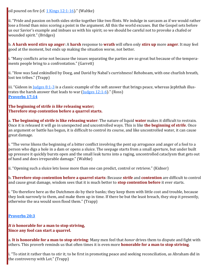oil poured on fire (cf.  $1$  Kings  $12:1-16$ )." (Waltke)

ii. "Pride and passion on both sides strike together like two flints. We indulge in sarcasm as if we would rather lose a friend than miss scoring a point in the argument. All this the world excuses. But the Gospel sets before us our Savior's example and imbues us with his spirit; so we should be careful not to provoke a chafed or wounded spirit." (Bridges)

b. **A harsh word stirs up anger**: A **harsh** response to **wrath** will often only **stirs up** more **anger**. It may feel good at the moment, but ends up making the situation worse, not better.

i. "Many conflicts arise not because the issues separating the parties are so great but because of the temperaments people bring to a confrontation." (Garrett)

ii. "How was Saul enkindled by Doeg, and David by Nabal's currishness! Rehoboam, with one churlish breath, lost ten tribes." (Trapp)

iii. "Gideon in [Judges 8:1](https://www.blueletterbible.org/kjv/judges/8/1-3/s_219001)-3 is a classic example of the soft answer that brings peace, whereas Jephthah illustrates the harsh answer that leads to war  $(\lceil \frac{\nu}{\nu}\rceil \cdot 1)$ ." (Ross) **[Proverbs 17:14](https://www.blueletterbible.org/kjv/proverbs/17/14/s_645014)**

#### **The beginning of strife** *is like* **releasing water; Therefore stop contention before a quarrel starts.**

a. **The beginning of strife is like releasing water**: The nature of liquid **water** makes it difficult to restrain. Once it is released it will go in unexpected and uncontrolled ways. This is like **the beginning of strife**. Once an argument or battle has begun, it is difficult to control its course, and like uncontrolled water, it can cause great damage.

i. "The verse likens the beginning of a bitter conflict involving the pent up arrogance and anger of a fool to a person who digs a hole in a dam or opens a sluice. The seepage starts from a small aperture, but under built up pressure it quickly bursts open and the small leak turns into a raging, uncontrolled cataclysm that gets out of hand and does irreparable damage." (Waltke)

ii. "Opening such a sluice lets loose more than one can predict, control or retrieve." (Kidner)

b. **Therefore stop contention before a quarrel starts**: Because **strife** and **contention** are difficult to control and cause great damage, wisdom sees that it is much better to **stop contention before** it ever starts.

i. "Do therefore here as the Dutchmen do by their banks; they keep them with little cost and trouble, because they look narrowly to them, and make them up in time. If there be but the least breach, they stop it presently, otherwise the sea would soon flood them." (Trapp)

**[Proverbs 20:3](https://www.blueletterbible.org/kjv/proverbs/20/3/s_648003)**

*It is* **honorable for a man to stop striving, Since any fool can start a quarrel.**

a. **It is honorable for a man to stop striving**: Many men feel that *honor* drives them to dispute and fight with others. This proverb reminds us that often times it is even more **honorable for a man to stop striving**.

i. "To stint it rather than to stir it; to be first in promoting peace and seeking reconciliation, as Abraham did in the controversy with Lot." (Trapp)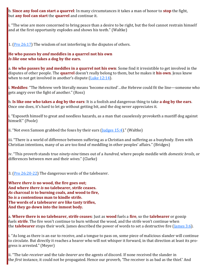b. **Since any fool can start a quarrel**: In many circumstances it takes a man of honor to **stop** the fight, but **any fool can start** the **quarrel** and continue it.

i. "The wise are more concerned to bring peace than a desire to be right, but the fool cannot restrain himself and at the first opportunity explodes and shows his teeth." (Waltke)

1. ([Pro 26:17\)](https://www.blueletterbible.org/kjv/proverbs/26/17/s_654017) The wisdom of not interfering in the disputes of others.

**He who passes by** *and* **meddles in a quarrel not his own** *Is like* **one who takes a dog by the ears.**

a. **He who passes by and meddles in a quarrel not his own**: Some find it irresistible to get involved in the disputes of other people. The **quarrel** doesn't really belong to them, but he makes it **his own**. Jesus knew when to not get involved in another's dispute ([Luke 12:14\)](https://www.blueletterbible.org/kjv/luke/12/14/s_985014).

i. **Meddles**: "The Hebrew verb literally means 'become excited'…the Hebrew could fit the line—someone who gets angry over the fight of another." (Ross)

b. **Is like one who takes a dog by the ears**: It is a foolish and dangerous thing to take **a dog by the ears**. Once one does, it's hard to let go without getting bit, and the dog never appreciates it.

i. "Exposeth himself to great and needless hazards, as a man that causelessly provoketh a mastiff dog against himself." (Poole)

ii. "Not even Samson grabbed the foxes by their ears  $(\underline{Judges 15:4})$ ." (Waltke)

iii. "There is a world of difference between suffering as a Christian and suffering as a busybody. Even with Christian intentions, many of us are too fond of meddling in other peoples' affairs." (Bridges)

iv. "This proverb stands true *ninety-nine* times out of a *hundred*, where people meddle with *domestic broils*, or differences between *men* and their *wives*." (Clarke)

3. ([Pro 26:20](https://www.blueletterbible.org/kjv/proverbs/26/20-22/s_654020)-22) The dangerous words of the talebearer.

**Where** *there is* **no wood, the fire goes out; And where** *there is* **no talebearer, strife ceases.** *As* **charcoal** *is* **to burning coals, and wood to fire, So** *is* **a contentious man to kindle strife. The words of a talebearer** *are* **like tasty trifles, And they go down into the inmost body.**

a. **Where there is no talebearer, strife ceases**: Just as **wood** fuels a **fire**, so the **talebearer** or gossip fuels **strife**. The fire won't continue to burn without the wood, and the strife won't continue when the **talebearer** stops their work. James described the power of words to set a destructive fire (<u>James 3:6</u>).

i. "As long as there is an ear to receive, and a tongue to pass on, some piece of malicious slander will continue to circulate. But directly it reaches a hearer who will not whisper it forward, in that direction at least its progress is arrested." (Meyer)

ii. "The tale-*receiver* and the tale-*bearer* are the agents of discord. If none received the slander in the *first* instance, it could not be propagated. Hence our proverb, 'The receiver is as bad as the thief.' And